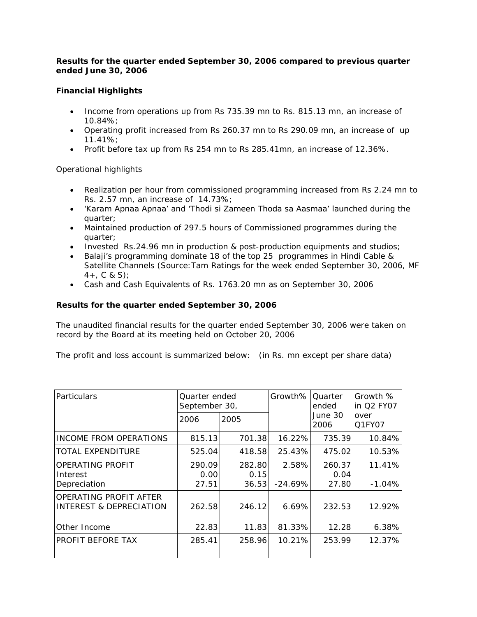### *Results for the quarter ended September 30, 2006 compared to previous quarter ended June 30, 2006*

## **Financial Highlights**

- Income from operations up from Rs 735.39 mn to Rs. 815.13 mn, an increase of 10.84%;
- Operating profit increased from Rs 260.37 mn to Rs 290.09 mn, an increase of up 11.41%;
- Profit before tax up from Rs 254 mn to Rs 285.41mn, an increase of 12.36%.

## Operational highlights

- Realization per hour from commissioned programming increased from Rs 2.24 mn to Rs. 2.57 mn, an increase of 14.73%;
- 'Karam Apnaa Apnaa' and 'Thodi si Zameen Thoda sa Aasmaa' launched during the quarter;
- Maintained production of 297.5 hours of Commissioned programmes during the quarter;
- Invested Rs.24.96 mn in production & post-production equipments and studios;
- Balaji's programming dominate 18 of the top 25 programmes in Hindi Cable & Satellite Channels (Source: Tam Ratings for the week ended September 30, 2006, MF  $4+$ , C & S);
- Cash and Cash Equivalents of Rs. 1763.20 mn as on September 30, 2006

## **Results for the quarter ended September 30, 2006**

The unaudited financial results for the quarter ended September 30, 2006 were taken on record by the Board at its meeting held on October 20, 2006

The profit and loss account is summarized below: (in Rs. mn except per share data)

| <b>Particulars</b>                                           | Quarter ended<br>September 30, |                         | Growth%            | <b>Ouarter</b><br>ended | Growth %<br>in Q2 FY07 |
|--------------------------------------------------------------|--------------------------------|-------------------------|--------------------|-------------------------|------------------------|
|                                                              | 2006                           | 2005                    |                    | June 30<br>2006         | over<br>Q1FY07         |
| <b>INCOME FROM OPERATIONS</b>                                | 815.13                         | 701.38                  | 16.22%             | 735.39                  | 10.84%                 |
| <b>TOTAL EXPENDITURE</b>                                     | 525.04                         | 418.58                  | 25.43%             | 475.02                  | 10.53%                 |
| OPERATING PROFIT<br>Interest<br>Depreciation                 | 290.09<br>0.00<br>27.51        | 282.80<br>0.15<br>36.53 | 2.58%<br>$-24.69%$ | 260.37<br>0.04<br>27.80 | 11.41%<br>$-1.04%$     |
| OPERATING PROFIT AFTER<br><b>INTEREST &amp; DEPRECIATION</b> | 262.58                         | 246.12                  | 6.69%              | 232.53                  | 12.92%                 |
| Other Income                                                 | 22.83                          | 11.83                   | 81.33%             | 12.28                   | 6.38%                  |
| PROFIT BEFORE TAX                                            | 285.41                         | 258.96                  | 10.21%             | 253.99                  | 12.37%                 |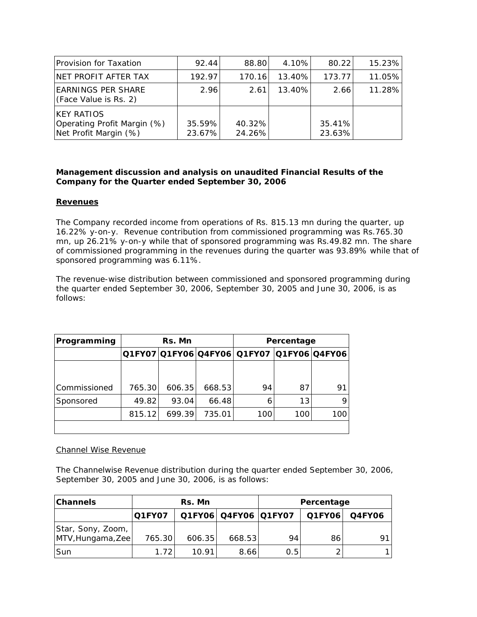| <b>Provision for Taxation</b>                                              | 92.44            | 88.80            | 4.10%  | 80.22            | 15.23% |
|----------------------------------------------------------------------------|------------------|------------------|--------|------------------|--------|
| NET PROFIT AFTER TAX                                                       | 192.97           | 170.16           | 13.40% | 173.77           | 11.05% |
| <b>EARNINGS PER SHARE</b><br>(Face Value is Rs. 2)                         | 2.96             | 2.61             | 13.40% | 2.66             | 11.28% |
| <b>IKEY RATIOS</b><br>Operating Profit Margin (%)<br>Net Profit Margin (%) | 35.59%<br>23.67% | 40.32%<br>24.26% |        | 35.41%<br>23.63% |        |

### *Management discussion and analysis on unaudited Financial Results of the Company for the Quarter ended September 30, 2006*

### **Revenues**

The Company recorded income from operations of Rs. 815.13 mn during the quarter, up 16.22% y-on-y. Revenue contribution from commissioned programming was Rs.765.30 mn, up 26.21% y-on-y while that of sponsored programming was Rs.49.82 mn. The share of commissioned programming in the revenues during the quarter was 93.89% while that of sponsored programming was 6.11%.

The revenue-wise distribution between commissioned and sponsored programming during the quarter ended September 30, 2006, September 30, 2005 and June 30, 2006, is as follows:

| Programming  | Rs. Mn                                      |        |        |     | Percentage |     |
|--------------|---------------------------------------------|--------|--------|-----|------------|-----|
|              | Q1FY07 Q1FY06 Q4FY06  Q1FY07  Q1FY06 Q4FY06 |        |        |     |            |     |
|              |                                             |        |        |     |            |     |
| Commissioned | 765.30                                      | 606.35 | 668.53 | 94  | 87         | 91  |
| Sponsored    | 49.82                                       | 93.04  | 66.48  | 6   | 13         |     |
|              | 815.12                                      | 699.39 | 735.01 | 100 | 100        | 100 |
|              |                                             |        |        |     |            |     |

### Channel Wise Revenue

The Channelwise Revenue distribution during the quarter ended September 30, 2006, September 30, 2005 and June 30, 2006, is as follows:

| <b>Channels</b>   | Rs. Mn        |        |                      | Percentage |        |               |
|-------------------|---------------|--------|----------------------|------------|--------|---------------|
|                   | <b>Q1FY07</b> |        | Q1FY06 Q4FY06 Q1FY07 |            | Q1FY06 | <b>Q4FY06</b> |
| Star, Sony, Zoom, |               |        |                      |            |        |               |
| MTV, Hungama, Zee | 765.30        | 606.35 | 668.53               | 94         | 86     | О1            |
| <b>Sun</b>        | 1.72          | 10.91  | 8.66                 | 0.5        |        |               |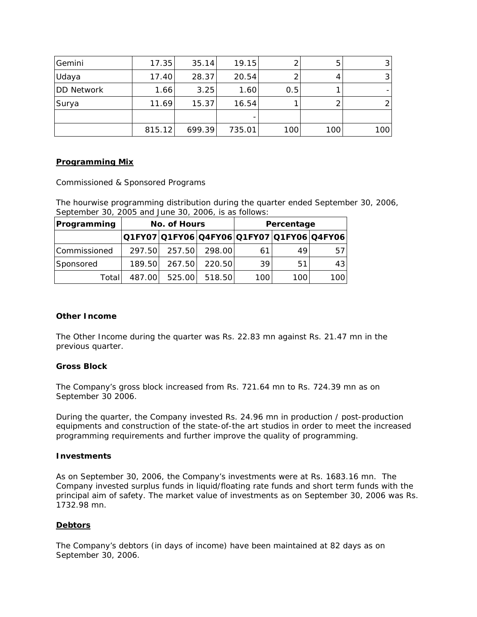| Gemini            | 17.35  | 35.14  | 19.15  |     | 5   | 3 <sub>l</sub> |
|-------------------|--------|--------|--------|-----|-----|----------------|
| Udaya             | 17.40  | 28.37  | 20.54  |     |     | ્રિ            |
| <b>DD Network</b> | 1.66   | 3.25   | 1.60   | 0.5 |     |                |
| Surya             | 11.69  | 15.37  | 16.54  |     |     |                |
|                   |        |        |        |     |     |                |
|                   | 815.12 | 699.39 | 735.01 | 100 | 100 | 100            |

### *Programming Mix*

Commissioned & Sponsored Programs

The hourwise programming distribution during the quarter ended September 30, 2006, September 30, 2005 and June 30, 2006, is as follows:

| Programming  | No. of Hours                              |        |        |     | Percentage |     |
|--------------|-------------------------------------------|--------|--------|-----|------------|-----|
|              | Q1FY07 Q1FY06 Q4FY06 Q1FY07 Q1FY06 Q4FY06 |        |        |     |            |     |
| Commissioned | 297.50                                    | 257.50 | 298.00 | 61  | 49         | 57  |
| Sponsored    | 189.50                                    | 267.50 | 220.50 | 39  | 51         | 43  |
| Totall       | 487.00                                    | 525.00 | 518.50 | 100 | 100        | 100 |

### **Other Income**

The Other Income during the quarter was Rs. 22.83 mn against Rs. 21.47 mn in the previous quarter.

### **Gross Block**

The Company's gross block increased from Rs. 721.64 mn to Rs. 724.39 mn as on September 30 2006.

During the quarter, the Company invested Rs. 24.96 mn in production / post-production equipments and construction of the state-of-the art studios in order to meet the increased programming requirements and further improve the quality of programming.

### **Investments**

As on September 30, 2006, the Company's investments were at Rs. 1683.16 mn. The Company invested surplus funds in liquid/floating rate funds and short term funds with the principal aim of safety. *The market value of investments as on September 30, 2006 was Rs. 1732.98 mn.*

## **Debtors**

The Company's debtors (in days of income) have been maintained at 82 days as on September 30, 2006.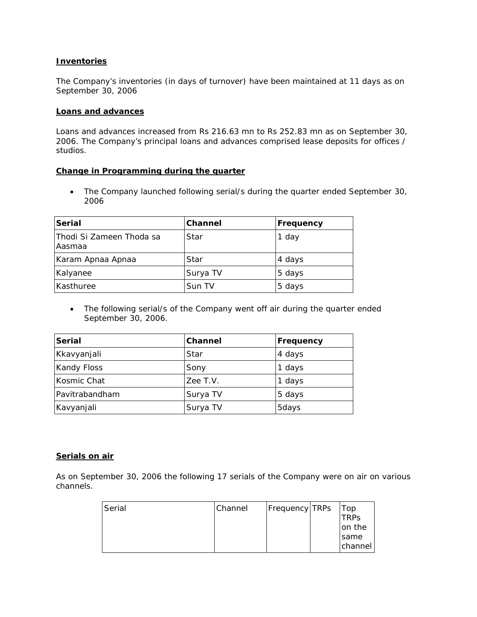### **Inventories**

The Company's inventories (in days of turnover) have been maintained at 11 days as on September 30, 2006

#### **Loans and advances**

Loans and advances increased from Rs 216.63 mn to Rs 252.83 mn as on September 30, 2006. The Company's principal loans and advances comprised lease deposits for offices / studios.

#### **Change in Programming during the quarter**

• The Company launched following serial/s during the quarter ended September 30, 2006

| <b>Serial</b>                      | <b>Channel</b> | Frequency |
|------------------------------------|----------------|-----------|
| Thodi Si Zameen Thoda sa<br>Aasmaa | Star           | 1 day     |
| Karam Apnaa Apnaa                  | Star           | 4 days    |
| Kalyanee                           | Surya TV       | 5 days    |
| Kasthuree                          | Sun TV         | 5 days    |

• The following serial/s of the Company went off air during the quarter ended September 30, 2006.

| <b>Serial</b>      | Channel  | Frequency |
|--------------------|----------|-----------|
| Kkavyanjali        | Star     | 4 days    |
| <b>Kandy Floss</b> | Sony     | 1 days    |
| Kosmic Chat        | Zee T.V. | 1 days    |
| Pavitrabandham     | Surya TV | 5 days    |
| Kavyanjali         | Surya TV | 5days     |

### **Serials on air**

*As on September 30, 2006 the following 17 serials of the Company were on air on various channels.*

| Serial | Channel | <b>Frequency TRPs</b> | Top         |
|--------|---------|-----------------------|-------------|
|        |         |                       | <b>TRPs</b> |
|        |         |                       | on the      |
|        |         |                       | <b>Same</b> |
|        |         |                       | channel     |